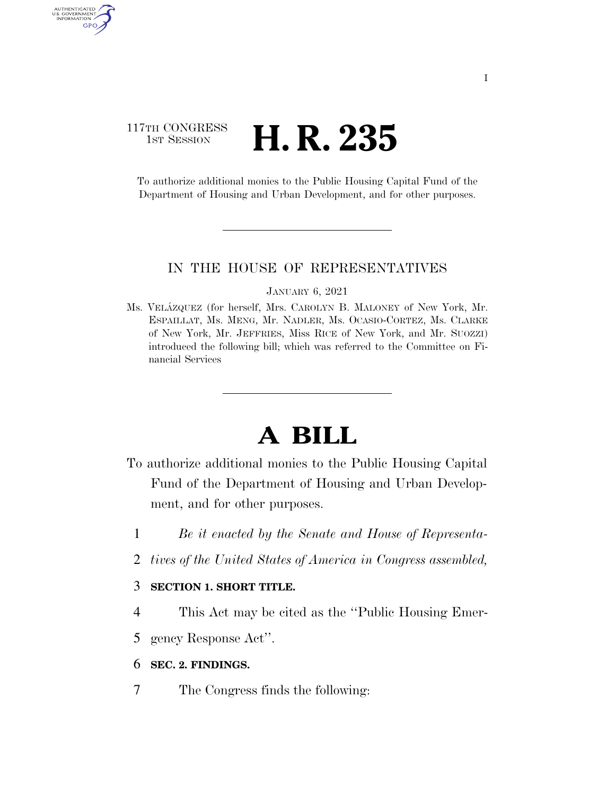# 117TH CONGRESS **1st Session H. R. 235**

AUTHENTICATED U.S. GOVERNMENT GPO

> To authorize additional monies to the Public Housing Capital Fund of the Department of Housing and Urban Development, and for other purposes.

### IN THE HOUSE OF REPRESENTATIVES

#### JANUARY 6, 2021

Ms. VELA´ZQUEZ (for herself, Mrs. CAROLYN B. MALONEY of New York, Mr. ESPAILLAT, Ms. MENG, Mr. NADLER, Ms. OCASIO-CORTEZ, Ms. CLARKE of New York, Mr. JEFFRIES, Miss RICE of New York, and Mr. SUOZZI) introduced the following bill; which was referred to the Committee on Financial Services

# **A BILL**

- To authorize additional monies to the Public Housing Capital Fund of the Department of Housing and Urban Development, and for other purposes.
	- 1 *Be it enacted by the Senate and House of Representa-*
	- 2 *tives of the United States of America in Congress assembled,*

## 3 **SECTION 1. SHORT TITLE.**

- 4 This Act may be cited as the ''Public Housing Emer-
- 5 gency Response Act''.

### 6 **SEC. 2. FINDINGS.**

7 The Congress finds the following: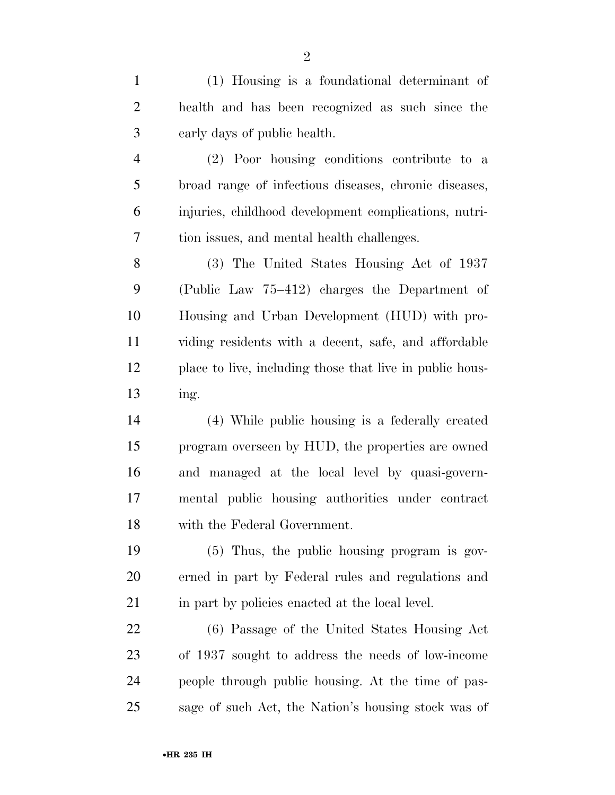(1) Housing is a foundational determinant of health and has been recognized as such since the early days of public health. (2) Poor housing conditions contribute to a broad range of infectious diseases, chronic diseases, injuries, childhood development complications, nutri- tion issues, and mental health challenges. (3) The United States Housing Act of 1937 (Public Law 75–412) charges the Department of Housing and Urban Development (HUD) with pro- viding residents with a decent, safe, and affordable place to live, including those that live in public hous- ing. (4) While public housing is a federally created program overseen by HUD, the properties are owned and managed at the local level by quasi-govern- mental public housing authorities under contract with the Federal Government. (5) Thus, the public housing program is gov- erned in part by Federal rules and regulations and 21 in part by policies enacted at the local level. (6) Passage of the United States Housing Act of 1937 sought to address the needs of low-income people through public housing. At the time of pas-sage of such Act, the Nation's housing stock was of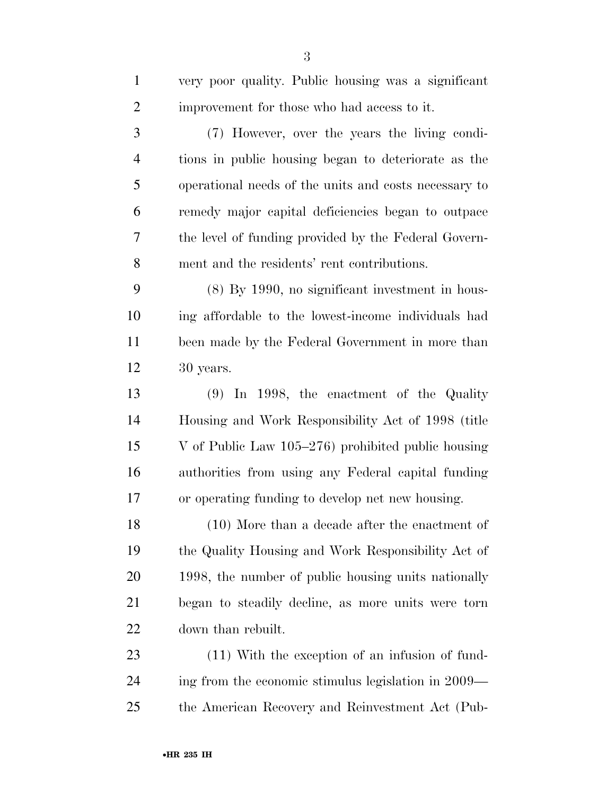| $\mathbf{1}$   | very poor quality. Public housing was a significant   |
|----------------|-------------------------------------------------------|
| $\overline{2}$ | improvement for those who had access to it.           |
| 3              | (7) However, over the years the living condi-         |
| $\overline{4}$ | tions in public housing began to deteriorate as the   |
| 5              | operational needs of the units and costs necessary to |
| 6              | remedy major capital deficiencies began to outpace    |
| 7              | the level of funding provided by the Federal Govern-  |
| 8              | ment and the residents' rent contributions.           |
| 9              | $(8)$ By 1990, no significant investment in hous-     |
| 10             | ing affordable to the lowest-income individuals had   |
| 11             | been made by the Federal Government in more than      |
| 12             | 30 years.                                             |
| 13             | $(9)$ In 1998, the enactment of the Quality           |
| 14             | Housing and Work Responsibility Act of 1998 (title    |
| 15             | V of Public Law $105-276$ ) prohibited public housing |
| 16             | authorities from using any Federal capital funding    |
| 17             | or operating funding to develop net new housing.      |
| 18             | $(10)$ More than a decade after the enactment of      |
| 19             | the Quality Housing and Work Responsibility Act of    |
| 20             | 1998, the number of public housing units nationally   |
| 21             | began to steadily decline, as more units were torn    |
| 22             | down than rebuilt.                                    |
| 23             | (11) With the exception of an infusion of fund-       |
| 24             | ing from the economic stimulus legislation in 2009—   |
| 25             | the American Recovery and Reinvestment Act (Pub-      |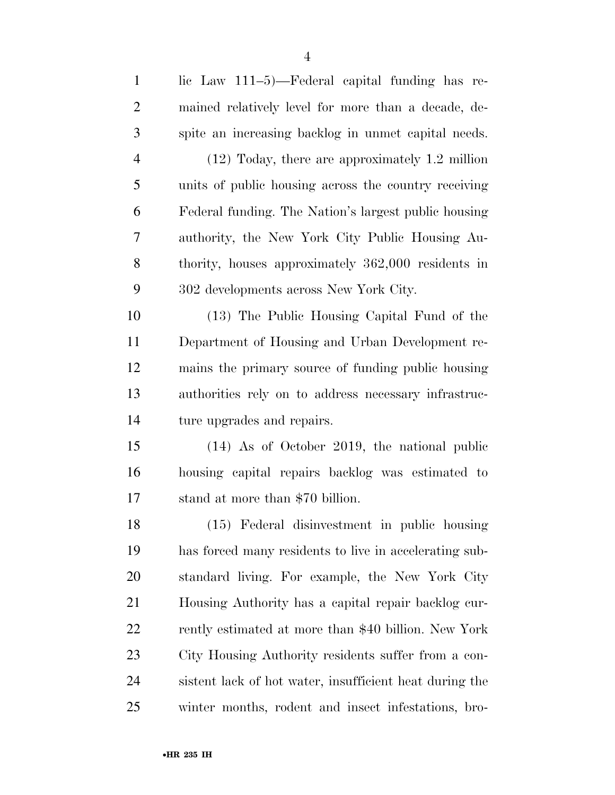| $\mathbf{1}$   | lic Law 111-5)—Federal capital funding has re-          |
|----------------|---------------------------------------------------------|
| $\overline{2}$ | mained relatively level for more than a decade, de-     |
| 3              | spite an increasing backlog in unmet capital needs.     |
| $\overline{4}$ | $(12)$ Today, there are approximately 1.2 million       |
| 5              | units of public housing across the country receiving    |
| 6              | Federal funding. The Nation's largest public housing    |
| 7              | authority, the New York City Public Housing Au-         |
| 8              | thority, houses approximately 362,000 residents in      |
| 9              | 302 developments across New York City.                  |
| 10             | (13) The Public Housing Capital Fund of the             |
| 11             | Department of Housing and Urban Development re-         |
| 12             | mains the primary source of funding public housing      |
| 13             | authorities rely on to address necessary infrastruc-    |
| 14             | ture upgrades and repairs.                              |
| 15             | $(14)$ As of October 2019, the national public          |
| 16             | housing capital repairs backlog was estimated to        |
| 17             | stand at more than \$70 billion.                        |
| 18             | (15) Federal disinvestment in public housing            |
| 19             | has forced many residents to live in accelerating sub-  |
| 20             | standard living. For example, the New York City         |
| 21             | Housing Authority has a capital repair backlog cur-     |
| 22             | rently estimated at more than \$40 billion. New York    |
| 23             | City Housing Authority residents suffer from a con-     |
| 24             | sistent lack of hot water, insufficient heat during the |
| 25             | winter months, rodent and insect infestations, bro-     |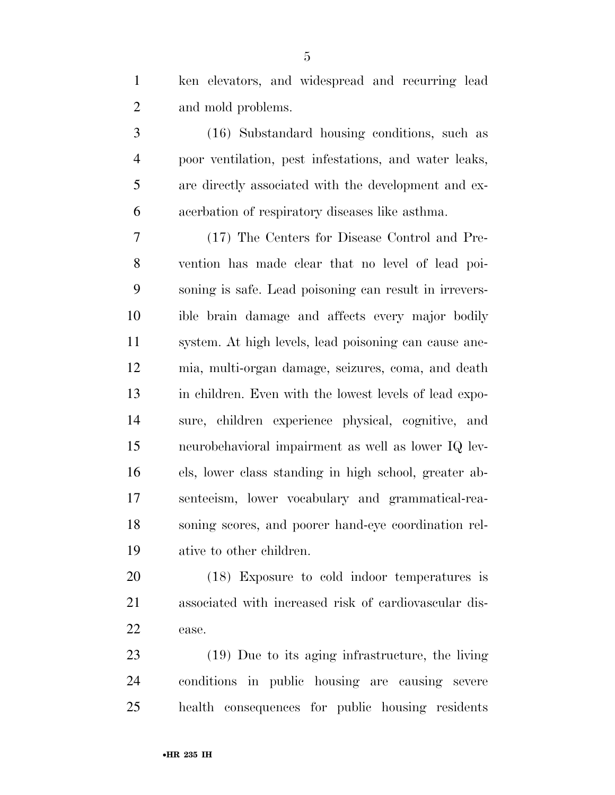ken elevators, and widespread and recurring lead and mold problems.

 (16) Substandard housing conditions, such as poor ventilation, pest infestations, and water leaks, are directly associated with the development and ex-acerbation of respiratory diseases like asthma.

 (17) The Centers for Disease Control and Pre- vention has made clear that no level of lead poi- soning is safe. Lead poisoning can result in irrevers- ible brain damage and affects every major bodily system. At high levels, lead poisoning can cause ane- mia, multi-organ damage, seizures, coma, and death in children. Even with the lowest levels of lead expo- sure, children experience physical, cognitive, and neurobehavioral impairment as well as lower IQ lev- els, lower class standing in high school, greater ab- senteeism, lower vocabulary and grammatical-rea- soning scores, and poorer hand-eye coordination rel-ative to other children.

 (18) Exposure to cold indoor temperatures is associated with increased risk of cardiovascular dis-ease.

 (19) Due to its aging infrastructure, the living conditions in public housing are causing severe health consequences for public housing residents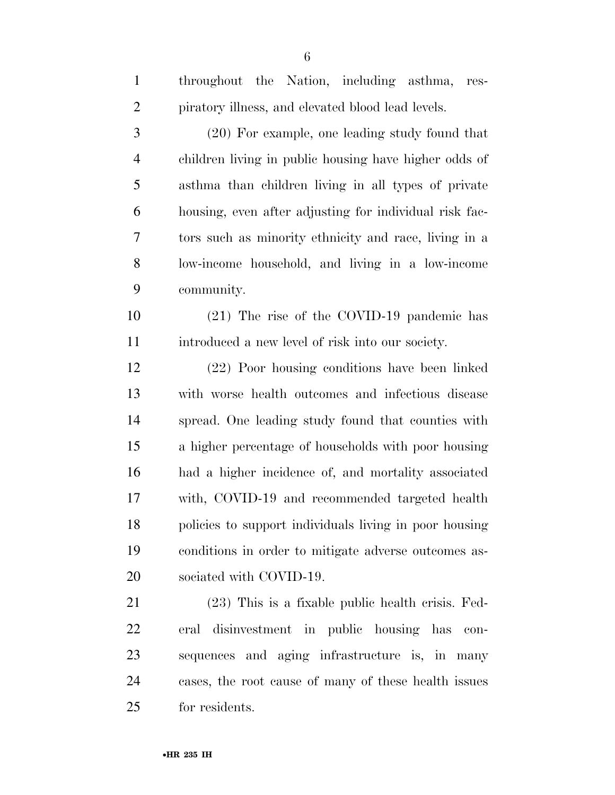| $\mathbf{1}$   | throughout the Nation, including asthma,<br>res-       |
|----------------|--------------------------------------------------------|
| $\overline{2}$ | piratory illness, and elevated blood lead levels.      |
| 3              | $(20)$ For example, one leading study found that       |
| $\overline{4}$ | children living in public housing have higher odds of  |
| 5              | asthma than children living in all types of private    |
| 6              | housing, even after adjusting for individual risk fac- |
| 7              | tors such as minority ethnicity and race, living in a  |
| 8              | low-income household, and living in a low-income       |
| 9              | community.                                             |
| 10             | $(21)$ The rise of the COVID-19 pandemic has           |
| 11             | introduced a new level of risk into our society.       |
| 12             | (22) Poor housing conditions have been linked          |
| 13             | with worse health outcomes and infectious disease      |
| 14             | spread. One leading study found that counties with     |
| 15             | a higher percentage of households with poor housing    |
| 16             | had a higher incidence of, and mortality associated    |
| 17             | with, COVID-19 and recommended targeted health         |
| 18             | policies to support individuals living in poor housing |
| 19             | conditions in order to mitigate adverse outcomes as-   |
| 20             | sociated with COVID-19.                                |
| 21             | $(23)$ This is a fixable public health crisis. Fed-    |
| 22             | disinvestment in public housing has<br>eral<br>con-    |
| 23             | sequences and aging infrastructure is, in many         |
| 24             | cases, the root cause of many of these health issues   |

for residents.